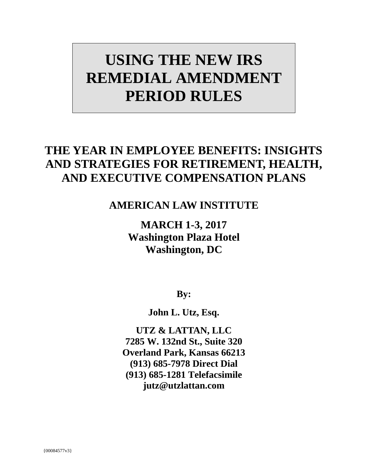# **USING THE NEW IRS REMEDIAL AMENDMENT PERIOD RULES**

# **THE YEAR IN EMPLOYEE BENEFITS: INSIGHTS AND STRATEGIES FOR RETIREMENT, HEALTH, AND EXECUTIVE COMPENSATION PLANS**

# **AMERICAN LAW INSTITUTE**

**MARCH 1-3, 2017 Washington Plaza Hotel Washington, DC**

**By:**

**John L. Utz, Esq.** 

**UTZ & LATTAN, LLC 7285 W. 132nd St., Suite 320 Overland Park, Kansas 66213 (913) 685-7978 Direct Dial (913) 685-1281 Telefacsimile jutz@utzlattan.com**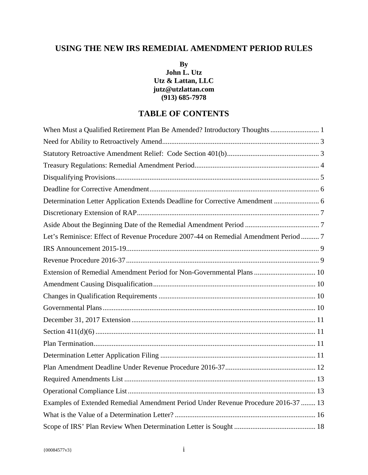## **USING THE NEW IRS REMEDIAL AMENDMENT PERIOD RULES**

**By John L. Utz Utz & Lattan, LLC jutz@utzlattan.com (913) 685-7978**

### **TABLE OF CONTENTS**

| When Must a Qualified Retirement Plan Be Amended? Introductory Thoughts 1            |
|--------------------------------------------------------------------------------------|
|                                                                                      |
|                                                                                      |
|                                                                                      |
|                                                                                      |
|                                                                                      |
| Determination Letter Application Extends Deadline for Corrective Amendment  6        |
|                                                                                      |
|                                                                                      |
| Let's Reminisce: Effect of Revenue Procedure 2007-44 on Remedial Amendment Period  7 |
|                                                                                      |
|                                                                                      |
| Extension of Remedial Amendment Period for Non-Governmental Plans  10                |
|                                                                                      |
|                                                                                      |
|                                                                                      |
|                                                                                      |
|                                                                                      |
|                                                                                      |
|                                                                                      |
|                                                                                      |
|                                                                                      |
|                                                                                      |
| Examples of Extended Remedial Amendment Period Under Revenue Procedure 2016-37  13   |
|                                                                                      |
|                                                                                      |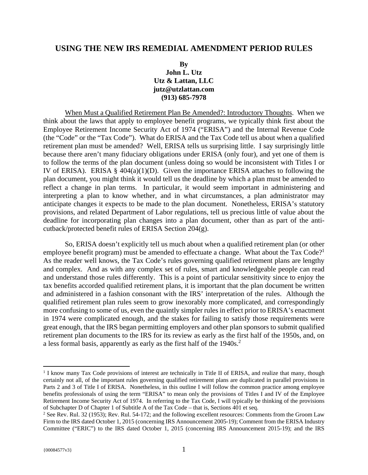#### **USING THE NEW IRS REMEDIAL AMENDMENT PERIOD RULES**

#### **By John L. Utz Utz & Lattan, LLC jutz@utzlattan.com (913) 685-7978**

When Must a Qualified Retirement Plan Be Amended?: Introductory Thoughts. When we think about the laws that apply to employee benefit programs, we typically think first about the Employee Retirement Income Security Act of 1974 ("ERISA") and the Internal Revenue Code (the "Code" or the "Tax Code"). What do ERISA and the Tax Code tell us about when a qualified retirement plan must be amended? Well, ERISA tells us surprising little. I say surprisingly little because there aren't many fiduciary obligations under ERISA (only four), and yet one of them is to follow the terms of the plan document (unless doing so would be inconsistent with Titles I or IV of ERISA). ERISA § 404(a)(1)(D). Given the importance ERISA attaches to following the plan document, you might think it would tell us the deadline by which a plan must be amended to reflect a change in plan terms. In particular, it would seem important in administering and interpreting a plan to know whether, and in what circumstances, a plan administrator may anticipate changes it expects to be made to the plan document. Nonetheless, ERISA's statutory provisions, and related Department of Labor regulations, tell us precious little of value about the deadline for incorporating plan changes into a plan document, other than as part of the anticutback/protected benefit rules of ERISA Section 204(g).

So, ERISA doesn't explicitly tell us much about when a qualified retirement plan (or other employee benefit program) must be amended to effectuate a change. What about the Tax Code?<sup>1</sup> As the reader well knows, the Tax Code's rules governing qualified retirement plans are lengthy and complex. And as with any complex set of rules, smart and knowledgeable people can read and understand those rules differently. This is a point of particular sensitivity since to enjoy the tax benefits accorded qualified retirement plans, it is important that the plan document be written and administered in a fashion consonant with the IRS' interpretation of the rules. Although the qualified retirement plan rules seem to grow inexorably more complicated, and correspondingly more confusing to some of us, even the quaintly simpler rules in effect prior to ERISA's enactment in 1974 were complicated enough, and the stakes for failing to satisfy those requirements were great enough, that the IRS began permitting employers and other plan sponsors to submit qualified retirement plan documents to the IRS for its review as early as the first half of the 1950s, and, on a less formal basis, apparently as early as the first half of the 1940s.<sup>2</sup>

 $\overline{a}$ 

<sup>&</sup>lt;sup>1</sup> I know many Tax Code provisions of interest are technically in Title II of ERISA, and realize that many, though certainly not all, of the important rules governing qualified retirement plans are duplicated in parallel provisions in Parts 2 and 3 of Title I of ERISA. Nonetheless, in this outline I will follow the common practice among employee benefits professionals of using the term "ERISA" to mean only the provisions of Titles I and IV of the Employee Retirement Income Security Act of 1974. In referring to the Tax Code, I will typically be thinking of the provisions of Subchapter D of Chapter 1 of Subtitle A of the Tax Code – that is, Sections 401 et seq. 2

<sup>&</sup>lt;sup>2</sup> See Rev. Rul. 32 (1953); Rev. Rul. 54-172; and the following excellent resources: Comments from the Groom Law Firm to the IRS dated October 1, 2015 (concerning IRS Announcement 2005-19); Comment from the ERISA Industry Committee ("ERIC") to the IRS dated October 1, 2015 (concerning IRS Announcement 2015-19); and the IRS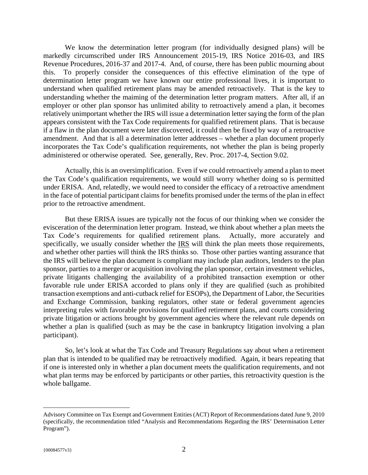We know the determination letter program (for individually designed plans) will be markedly circumscribed under IRS Announcement 2015-19, IRS Notice 2016-03, and IRS Revenue Procedures, 2016-37 and 2017-4. And, of course, there has been public mourning about this. To properly consider the consequences of this effective elimination of the type of determination letter program we have known our entire professional lives, it is important to understand when qualified retirement plans may be amended retroactively. That is the key to understanding whether the maiming of the determination letter program matters. After all, if an employer or other plan sponsor has unlimited ability to retroactively amend a plan, it becomes relatively unimportant whether the IRS will issue a determination letter saying the form of the plan appears consistent with the Tax Code requirements for qualified retirement plans. That is because if a flaw in the plan document were later discovered, it could then be fixed by way of a retroactive amendment. And that is all a determination letter addresses – whether a plan document properly incorporates the Tax Code's qualification requirements, not whether the plan is being properly administered or otherwise operated. See, generally, Rev. Proc. 2017-4, Section 9.02.

Actually, this is an oversimplification. Even if we could retroactively amend a plan to meet the Tax Code's qualification requirements, we would still worry whether doing so is permitted under ERISA. And, relatedly, we would need to consider the efficacy of a retroactive amendment in the face of potential participant claims for benefits promised under the terms of the plan in effect prior to the retroactive amendment.

But these ERISA issues are typically not the focus of our thinking when we consider the evisceration of the determination letter program. Instead, we think about whether a plan meets the Tax Code's requirements for qualified retirement plans. Actually, more accurately and specifically, we usually consider whether the IRS will think the plan meets those requirements, and whether other parties will think the IRS thinks so. Those other parties wanting assurance that the IRS will believe the plan document is compliant may include plan auditors, lenders to the plan sponsor, parties to a merger or acquisition involving the plan sponsor, certain investment vehicles, private litigants challenging the availability of a prohibited transaction exemption or other favorable rule under ERISA accorded to plans only if they are qualified (such as prohibited transaction exemptions and anti-cutback relief for ESOPs), the Department of Labor, the Securities and Exchange Commission, banking regulators, other state or federal government agencies interpreting rules with favorable provisions for qualified retirement plans, and courts considering private litigation or actions brought by government agencies where the relevant rule depends on whether a plan is qualified (such as may be the case in bankruptcy litigation involving a plan participant).

So, let's look at what the Tax Code and Treasury Regulations say about when a retirement plan that is intended to be qualified may be retroactively modified. Again, it bears repeating that if one is interested only in whether a plan document meets the qualification requirements, and not what plan terms may be enforced by participants or other parties, this retroactivity question is the whole ballgame.

 $\overline{a}$ 

Advisory Committee on Tax Exempt and Government Entities (ACT) Report of Recommendations dated June 9, 2010 (specifically, the recommendation titled "Analysis and Recommendations Regarding the IRS' Determination Letter Program").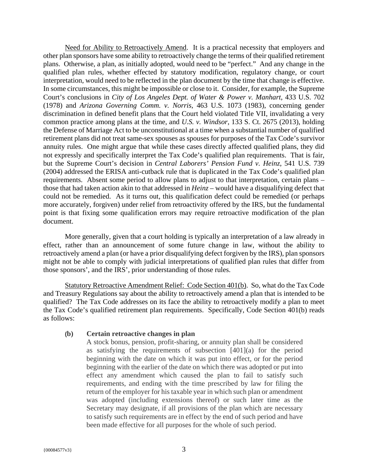Need for Ability to Retroactively Amend. It is a practical necessity that employers and other plan sponsors have some ability to retroactively change the terms of their qualified retirement plans. Otherwise, a plan, as initially adopted, would need to be "perfect." And any change in the qualified plan rules, whether effected by statutory modification, regulatory change, or court interpretation, would need to be reflected in the plan document by the time that change is effective. In some circumstances, this might be impossible or close to it. Consider, for example, the Supreme Court's conclusions in *City of Los Angeles Dept. of Water & Power v. Manhart*, 433 U.S. 702 (1978) and *Arizona Governing Comm. v. Norris*, 463 U.S. 1073 (1983), concerning gender discrimination in defined benefit plans that the Court held violated Title VII, invalidating a very common practice among plans at the time, and *U.S. v. Windsor*, 133 S. Ct. 2675 (2013), holding the Defense of Marriage Act to be unconstitutional at a time when a substantial number of qualified retirement plans did not treat same-sex spouses as spouses for purposes of the Tax Code's survivor annuity rules. One might argue that while these cases directly affected qualified plans, they did not expressly and specifically interpret the Tax Code's qualified plan requirements. That is fair, but the Supreme Court's decision in *Central Laborers' Pension Fund v. Heinz*, 541 U.S. 739 (2004) addressed the ERISA anti-cutback rule that is duplicated in the Tax Code's qualified plan requirements. Absent some period to allow plans to adjust to that interpretation, certain plans – those that had taken action akin to that addressed in *Heinz* – would have a disqualifying defect that could not be remedied. As it turns out, this qualification defect could be remedied (or perhaps more accurately, forgiven) under relief from retroactivity offered by the IRS, but the fundamental point is that fixing some qualification errors may require retroactive modification of the plan document.

More generally, given that a court holding is typically an interpretation of a law already in effect, rather than an announcement of some future change in law, without the ability to retroactively amend a plan (or have a prior disqualifying defect forgiven by the IRS), plan sponsors might not be able to comply with judicial interpretations of qualified plan rules that differ from those sponsors', and the IRS', prior understanding of those rules.

Statutory Retroactive Amendment Relief: Code Section 401(b). So, what do the Tax Code and Treasury Regulations say about the ability to retroactively amend a plan that is intended to be qualified? The Tax Code addresses on its face the ability to retroactively modify a plan to meet the Tax Code's qualified retirement plan requirements. Specifically, Code Section 401(b) reads as follows:

#### **(b) Certain retroactive changes in plan**

A stock bonus, pension, profit-sharing, or annuity plan shall be considered as satisfying the requirements of subsection [401](a) for the period beginning with the date on which it was put into effect, or for the period beginning with the earlier of the date on which there was adopted or put into effect any amendment which caused the plan to fail to satisfy such requirements, and ending with the time prescribed by law for filing the return of the employer for his taxable year in which such plan or amendment was adopted (including extensions thereof) or such later time as the Secretary may designate, if all provisions of the plan which are necessary to satisfy such requirements are in effect by the end of such period and have been made effective for all purposes for the whole of such period.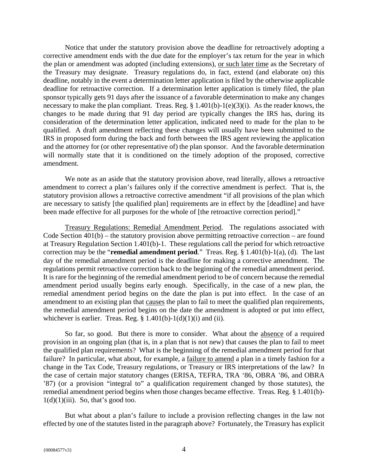Notice that under the statutory provision above the deadline for retroactively adopting a corrective amendment ends with the due date for the employer's tax return for the year in which the plan or amendment was adopted (including extensions), or such later time as the Secretary of the Treasury may designate. Treasury regulations do, in fact, extend (and elaborate on) this deadline, notably in the event a determination letter application is filed by the otherwise applicable deadline for retroactive correction. If a determination letter application is timely filed, the plan sponsor typically gets 91 days after the issuance of a favorable determination to make any changes necessary to make the plan compliant. Treas. Reg. § 1.401(b)-1(e)(3)(i). As the reader knows, the changes to be made during that 91 day period are typically changes the IRS has, during its consideration of the determination letter application, indicated need to made for the plan to be qualified. A draft amendment reflecting these changes will usually have been submitted to the IRS in proposed form during the back and forth between the IRS agent reviewing the application and the attorney for (or other representative of) the plan sponsor. And the favorable determination will normally state that it is conditioned on the timely adoption of the proposed, corrective amendment.

We note as an aside that the statutory provision above, read literally, allows a retroactive amendment to correct a plan's failures only if the corrective amendment is perfect. That is, the statutory provision allows a retroactive corrective amendment "if all provisions of the plan which are necessary to satisfy [the qualified plan] requirements are in effect by the [deadline] and have been made effective for all purposes for the whole of [the retroactive correction period]."

Treasury Regulations: Remedial Amendment Period. The regulations associated with Code Section  $401(b)$  – the statutory provision above permitting retroactive correction – are found at Treasury Regulation Section 1.401(b)-1. These regulations call the period for which retroactive correction may be the "**remedial amendment period**." Treas. Reg. § 1.401(b)-1(a), (d). The last day of the remedial amendment period is the deadline for making a corrective amendment. The regulations permit retroactive correction back to the beginning of the remedial amendment period. It is rare for the beginning of the remedial amendment period to be of concern because the remedial amendment period usually begins early enough. Specifically, in the case of a new plan, the remedial amendment period begins on the date the plan is put into effect. In the case of an amendment to an existing plan that causes the plan to fail to meet the qualified plan requirements, the remedial amendment period begins on the date the amendment is adopted or put into effect, whichever is earlier. Treas. Reg.  $\S$  1.401(b)-1(d)(1)(i) and (ii).

So far, so good. But there is more to consider. What about the absence of a required provision in an ongoing plan (that is, in a plan that is not new) that causes the plan to fail to meet the qualified plan requirements? What is the beginning of the remedial amendment period for that failure? In particular, what about, for example, a failure to amend a plan in a timely fashion for a change in the Tax Code, Treasury regulations, or Treasury or IRS interpretations of the law? In the case of certain major statutory changes (ERISA, TEFRA, TRA '86, OBRA '86, and OBRA '87) (or a provision "integral to" a qualification requirement changed by those statutes), the remedial amendment period begins when those changes became effective. Treas. Reg. § 1.401(b)-  $1(d)(1)(iii)$ . So, that's good too.

But what about a plan's failure to include a provision reflecting changes in the law not effected by one of the statutes listed in the paragraph above? Fortunately, the Treasury has explicit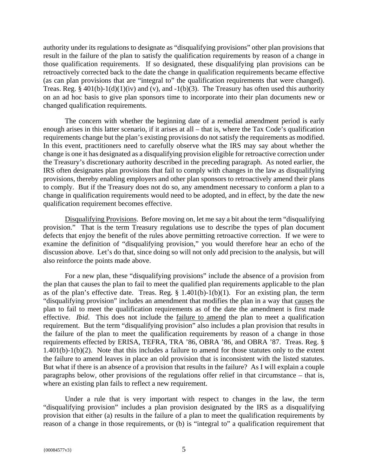authority under its regulations to designate as "disqualifying provisions" other plan provisions that result in the failure of the plan to satisfy the qualification requirements by reason of a change in those qualification requirements. If so designated, these disqualifying plan provisions can be retroactively corrected back to the date the change in qualification requirements became effective (as can plan provisions that are "integral to" the qualification requirements that were changed). Treas. Reg. § 401(b)-1(d)(1)(iv) and (v), and -1(b)(3). The Treasury has often used this authority on an ad hoc basis to give plan sponsors time to incorporate into their plan documents new or changed qualification requirements.

The concern with whether the beginning date of a remedial amendment period is early enough arises in this latter scenario, if it arises at all – that is, where the Tax Code's qualification requirements change but the plan's existing provisions do not satisfy the requirements as modified. In this event, practitioners need to carefully observe what the IRS may say about whether the change is one it has designated as a disqualifying provision eligible for retroactive correction under the Treasury's discretionary authority described in the preceding paragraph. As noted earlier, the IRS often designates plan provisions that fail to comply with changes in the law as disqualifying provisions, thereby enabling employers and other plan sponsors to retroactively amend their plans to comply. But if the Treasury does not do so, any amendment necessary to conform a plan to a change in qualification requirements would need to be adopted, and in effect, by the date the new qualification requirement becomes effective.

Disqualifying Provisions. Before moving on, let me say a bit about the term "disqualifying provision." That is the term Treasury regulations use to describe the types of plan document defects that enjoy the benefit of the rules above permitting retroactive correction. If we were to examine the definition of "disqualifying provision," you would therefore hear an echo of the discussion above. Let's do that, since doing so will not only add precision to the analysis, but will also reinforce the points made above.

For a new plan, these "disqualifying provisions" include the absence of a provision from the plan that causes the plan to fail to meet the qualified plan requirements applicable to the plan as of the plan's effective date. Treas. Reg.  $\S$  1.401(b)-1(b)(1). For an existing plan, the term "disqualifying provision" includes an amendment that modifies the plan in a way that causes the plan to fail to meet the qualification requirements as of the date the amendment is first made effective. *Ibid*. This does not include the failure to amend the plan to meet a qualification requirement. But the term "disqualifying provision" also includes a plan provision that results in the failure of the plan to meet the qualification requirements by reason of a change in those requirements effected by ERISA, TEFRA, TRA '86, OBRA '86, and OBRA '87. Treas. Reg. § 1.401(b)-1(b)(2). Note that this includes a failure to amend for those statutes only to the extent the failure to amend leaves in place an old provision that is inconsistent with the listed statutes. But what if there is an absence of a provision that results in the failure? As I will explain a couple paragraphs below, other provisions of the regulations offer relief in that circumstance – that is, where an existing plan fails to reflect a new requirement.

Under a rule that is very important with respect to changes in the law, the term "disqualifying provision" includes a plan provision designated by the IRS as a disqualifying provision that either (a) results in the failure of a plan to meet the qualification requirements by reason of a change in those requirements, or (b) is "integral to" a qualification requirement that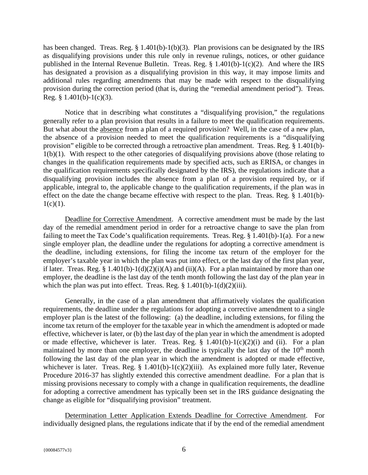has been changed. Treas. Reg.  $\S$  1.401(b)-1(b)(3). Plan provisions can be designated by the IRS as disqualifying provisions under this rule only in revenue rulings, notices, or other guidance published in the Internal Revenue Bulletin. Treas. Reg. § 1.401(b)-1(c)(2). And where the IRS has designated a provision as a disqualifying provision in this way, it may impose limits and additional rules regarding amendments that may be made with respect to the disqualifying provision during the correction period (that is, during the "remedial amendment period"). Treas. Reg.  $§$  1.401(b)-1(c)(3).

Notice that in describing what constitutes a "disqualifying provision," the regulations generally refer to a plan provision that results in a failure to meet the qualification requirements. But what about the absence from a plan of a required provision? Well, in the case of a new plan, the absence of a provision needed to meet the qualification requirements is a "disqualifying provision" eligible to be corrected through a retroactive plan amendment. Treas. Reg. § 1.401(b)- 1(b)(1). With respect to the other categories of disqualifying provisions above (those relating to changes in the qualification requirements made by specified acts, such as ERISA, or changes in the qualification requirements specifically designated by the IRS), the regulations indicate that a disqualifying provision includes the absence from a plan of a provision required by, or if applicable, integral to, the applicable change to the qualification requirements, if the plan was in effect on the date the change became effective with respect to the plan. Treas. Reg. § 1.401(b)-  $1(c)(1)$ .

Deadline for Corrective Amendment. A corrective amendment must be made by the last day of the remedial amendment period in order for a retroactive change to save the plan from failing to meet the Tax Code's qualification requirements. Treas. Reg.  $\S 1.401(b)$ -1(a). For a new single employer plan, the deadline under the regulations for adopting a corrective amendment is the deadline, including extensions, for filing the income tax return of the employer for the employer's taxable year in which the plan was put into effect, or the last day of the first plan year, if later. Treas. Reg. § 1.401(b)-1(d)(2)(i)(A) and (ii)(A). For a plan maintained by more than one employer, the deadline is the last day of the tenth month following the last day of the plan year in which the plan was put into effect. Treas. Reg.  $\S 1.401(b) - 1(d)(2)(iii)$ .

Generally, in the case of a plan amendment that affirmatively violates the qualification requirements, the deadline under the regulations for adopting a corrective amendment to a single employer plan is the latest of the following: (a) the deadline, including extensions, for filing the income tax return of the employer for the taxable year in which the amendment is adopted or made effective, whichever is later, or (b) the last day of the plan year in which the amendment is adopted or made effective, whichever is later. Treas. Reg.  $\S$  1.401(b)-1(c)(2)(i) and (ii). For a plan maintained by more than one employer, the deadline is typically the last day of the  $10<sup>th</sup>$  month following the last day of the plan year in which the amendment is adopted or made effective, whichever is later. Treas. Reg.  $\S$  1.401(b)-1(c)(2)(iii). As explained more fully later, Revenue Procedure 2016-37 has slightly extended this corrective amendment deadline. For a plan that is missing provisions necessary to comply with a change in qualification requirements, the deadline for adopting a corrective amendment has typically been set in the IRS guidance designating the change as eligible for "disqualifying provision" treatment.

Determination Letter Application Extends Deadline for Corrective Amendment. For individually designed plans, the regulations indicate that if by the end of the remedial amendment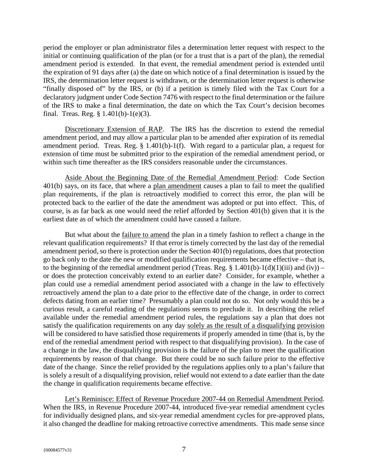period the employer or plan administrator files a determination letter request with respect to the initial or continuing qualification of the plan (or for a trust that is a part of the plan), the remedial amendment period is extended. In that event, the remedial amendment period is extended until the expiration of 91 days after (a) the date on which notice of a final determination is issued by the IRS, the determination letter request is withdrawn, or the determination letter request is otherwise "finally disposed of" by the IRS, or (b) if a petition is timely filed with the Tax Court for a declaratory judgment under Code Section 7476 with respect to the final determination or the failure of the IRS to make a final determination, the date on which the Tax Court's decision becomes final. Treas. Reg. § 1.401(b)-1(e)(3).

Discretionary Extension of RAP. The IRS has the discretion to extend the remedial amendment period, and may allow a particular plan to be amended after expiration of its remedial amendment period. Treas. Reg. § 1.401(b)-1(f). With regard to a particular plan, a request for extension of time must be submitted prior to the expiration of the remedial amendment period, or within such time thereafter as the IRS considers reasonable under the circumstances.

Aside About the Beginning Date of the Remedial Amendment Period: Code Section 401(b) says, on its face, that where a plan amendment causes a plan to fail to meet the qualified plan requirements, if the plan is retroactively modified to correct this error, the plan will be protected back to the earlier of the date the amendment was adopted or put into effect. This, of course, is as far back as one would need the relief afforded by Section  $\overline{401(b)}$  given that it is the earliest date as of which the amendment could have caused a failure.

But what about the failure to amend the plan in a timely fashion to reflect a change in the relevant qualification requirements? If that error is timely corrected by the last day of the remedial amendment period, so there is protection under the Section 401(b) regulations, does that protection go back only to the date the new or modified qualification requirements became effective – that is, to the beginning of the remedial amendment period (Treas. Reg. § 1.401(b)-1(d)(1)(iii) and (iv)) – or does the protection conceivably extend to an earlier date? Consider, for example, whether a plan could use a remedial amendment period associated with a change in the law to effectively retroactively amend the plan to a date prior to the effective date of the change, in order to correct defects dating from an earlier time? Presumably a plan could not do so. Not only would this be a curious result, a careful reading of the regulations seems to preclude it. In describing the relief available under the remedial amendment period rules, the regulations say a plan that does not satisfy the qualification requirements on any day solely as the result of a disqualifying provision will be considered to have satisfied those requirements if properly amended in time (that is, by the end of the remedial amendment period with respect to that disqualifying provision). In the case of a change in the law, the disqualifying provision is the failure of the plan to meet the qualification requirements by reason of that change. But there could be no such failure prior to the effective date of the change. Since the relief provided by the regulations applies only to a plan's failure that is solely a result of a disqualifying provision, relief would not extend to a date earlier than the date the change in qualification requirements became effective.

Let's Reminisce: Effect of Revenue Procedure 2007-44 on Remedial Amendment Period. When the IRS, in Revenue Procedure 2007-44, introduced five-year remedial amendment cycles for individually designed plans, and six-year remedial amendment cycles for pre-approved plans, it also changed the deadline for making retroactive corrective amendments. This made sense since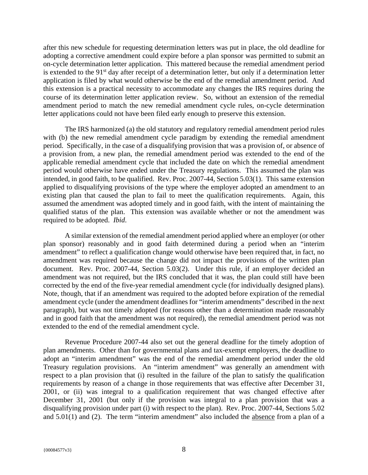after this new schedule for requesting determination letters was put in place, the old deadline for adopting a corrective amendment could expire before a plan sponsor was permitted to submit an on-cycle determination letter application. This mattered because the remedial amendment period is extended to the 91<sup>st</sup> day after receipt of a determination letter, but only if a determination letter application is filed by what would otherwise be the end of the remedial amendment period. And this extension is a practical necessity to accommodate any changes the IRS requires during the course of its determination letter application review. So, without an extension of the remedial amendment period to match the new remedial amendment cycle rules, on-cycle determination letter applications could not have been filed early enough to preserve this extension.

The IRS harmonized (a) the old statutory and regulatory remedial amendment period rules with (b) the new remedial amendment cycle paradigm by extending the remedial amendment period. Specifically, in the case of a disqualifying provision that was a provision of, or absence of a provision from, a new plan, the remedial amendment period was extended to the end of the applicable remedial amendment cycle that included the date on which the remedial amendment period would otherwise have ended under the Treasury regulations. This assumed the plan was intended, in good faith, to be qualified. Rev. Proc. 2007-44, Section 5.03(1). This same extension applied to disqualifying provisions of the type where the employer adopted an amendment to an existing plan that caused the plan to fail to meet the qualification requirements. Again, this assumed the amendment was adopted timely and in good faith, with the intent of maintaining the qualified status of the plan. This extension was available whether or not the amendment was required to be adopted. *Ibid*.

A similar extension of the remedial amendment period applied where an employer (or other plan sponsor) reasonably and in good faith determined during a period when an "interim amendment" to reflect a qualification change would otherwise have been required that, in fact, no amendment was required because the change did not impact the provisions of the written plan document. Rev. Proc. 2007-44, Section 5.03(2). Under this rule, if an employer decided an amendment was not required, but the IRS concluded that it was, the plan could still have been corrected by the end of the five-year remedial amendment cycle (for individually designed plans). Note, though, that if an amendment was required to the adopted before expiration of the remedial amendment cycle (under the amendment deadlines for "interim amendments" described in the next paragraph), but was not timely adopted (for reasons other than a determination made reasonably and in good faith that the amendment was not required), the remedial amendment period was not extended to the end of the remedial amendment cycle.

Revenue Procedure 2007-44 also set out the general deadline for the timely adoption of plan amendments. Other than for governmental plans and tax-exempt employers, the deadline to adopt an "interim amendment" was the end of the remedial amendment period under the old Treasury regulation provisions. An "interim amendment" was generally an amendment with respect to a plan provision that (i) resulted in the failure of the plan to satisfy the qualification requirements by reason of a change in those requirements that was effective after December 31, 2001, or (ii) was integral to a qualification requirement that was changed effective after December 31, 2001 (but only if the provision was integral to a plan provision that was a disqualifying provision under part (i) with respect to the plan). Rev. Proc. 2007-44, Sections 5.02 and  $5.01(1)$  and (2). The term "interim amendment" also included the absence from a plan of a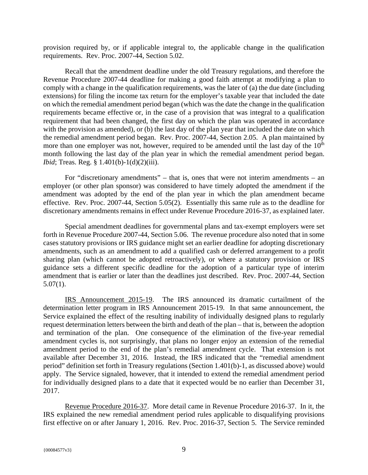provision required by, or if applicable integral to, the applicable change in the qualification requirements. Rev. Proc. 2007-44, Section 5.02.

Recall that the amendment deadline under the old Treasury regulations, and therefore the Revenue Procedure 2007-44 deadline for making a good faith attempt at modifying a plan to comply with a change in the qualification requirements, was the later of (a) the due date (including extensions) for filing the income tax return for the employer's taxable year that included the date on which the remedial amendment period began (which was the date the change in the qualification requirements became effective or, in the case of a provision that was integral to a qualification requirement that had been changed, the first day on which the plan was operated in accordance with the provision as amended), or (b) the last day of the plan year that included the date on which the remedial amendment period began. Rev. Proc. 2007-44, Section 2.05. A plan maintained by more than one employer was not, however, required to be amended until the last day of the  $10<sup>th</sup>$ month following the last day of the plan year in which the remedial amendment period began. *Ibid*; Treas. Reg. § 1.401(b)-1(d)(2)(iii).

For "discretionary amendments" – that is, ones that were not interim amendments – an employer (or other plan sponsor) was considered to have timely adopted the amendment if the amendment was adopted by the end of the plan year in which the plan amendment became effective. Rev. Proc. 2007-44, Section 5.05(2). Essentially this same rule as to the deadline for discretionary amendments remains in effect under Revenue Procedure 2016-37, as explained later.

Special amendment deadlines for governmental plans and tax-exempt employers were set forth in Revenue Procedure 2007-44, Section 5.06. The revenue procedure also noted that in some cases statutory provisions or IRS guidance might set an earlier deadline for adopting discretionary amendments, such as an amendment to add a qualified cash or deferred arrangement to a profit sharing plan (which cannot be adopted retroactively), or where a statutory provision or IRS guidance sets a different specific deadline for the adoption of a particular type of interim amendment that is earlier or later than the deadlines just described. Rev. Proc. 2007-44, Section  $5.07(1)$ .

IRS Announcement 2015-19. The IRS announced its dramatic curtailment of the determination letter program in IRS Announcement 2015-19. In that same announcement, the Service explained the effect of the resulting inability of individually designed plans to regularly request determination letters between the birth and death of the plan – that is, between the adoption and termination of the plan. One consequence of the elimination of the five-year remedial amendment cycles is, not surprisingly, that plans no longer enjoy an extension of the remedial amendment period to the end of the plan's remedial amendment cycle. That extension is not available after December 31, 2016. Instead, the IRS indicated that the "remedial amendment period" definition set forth in Treasury regulations (Section 1.401(b)-1, as discussed above) would apply. The Service signaled, however, that it intended to extend the remedial amendment period for individually designed plans to a date that it expected would be no earlier than December 31, 2017.

Revenue Procedure 2016-37. More detail came in Revenue Procedure 2016-37. In it, the IRS explained the new remedial amendment period rules applicable to disqualifying provisions first effective on or after January 1, 2016. Rev. Proc. 2016-37, Section 5. The Service reminded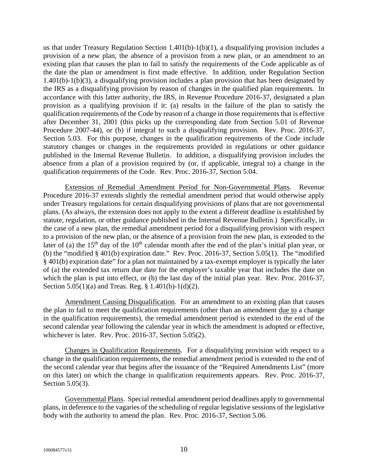us that under Treasury Regulation Section  $1.401(b)-1(b)(1)$ , a disqualifying provision includes a provision of a new plan, the absence of a provision from a new plan, or an amendment to an existing plan that causes the plan to fail to satisfy the requirements of the Code applicable as of the date the plan or amendment is first made effective. In addition, under Regulation Section 1.401(b)-1(b)(3), a disqualifying provision includes a plan provision that has been designated by the IRS as a disqualifying provision by reason of changes in the qualified plan requirements. In accordance with this latter authority, the IRS, in Revenue Procedure 2016-37, designated a plan provision as a qualifying provision if it: (a) results in the failure of the plan to satisfy the qualification requirements of the Code by reason of a change in those requirements that is effective after December 31, 2001 (this picks up the corresponding date from Section 5.01 of Revenue Procedure 2007-44), or (b) if integral to such a disqualifying provision. Rev. Proc. 2016-37, Section 5.03. For this purpose, changes in the qualification requirements of the Code include statutory changes or changes in the requirements provided in regulations or other guidance published in the Internal Revenue Bulletin. In addition, a disqualifying provision includes the absence from a plan of a provision required by (or, if applicable, integral to) a change in the qualification requirements of the Code. Rev. Proc. 2016-37, Section 5.04.

Extension of Remedial Amendment Period for Non-Governmental Plans. Revenue Procedure 2016-37 extends slightly the remedial amendment period that would otherwise apply under Treasury regulations for certain disqualifying provisions of plans that are not governmental plans. (As always, the extension does not apply to the extent a different deadline is established by statute, regulation, or other guidance published in the Internal Revenue Bulletin.) Specifically, in the case of a new plan, the remedial amendment period for a disqualifying provision with respect to a provision of the new plan, or the absence of a provision from the new plan, is extended to the later of (a) the 15<sup>th</sup> day of the 10<sup>th</sup> calendar month after the end of the plan's initial plan year, or (b) the "modified § 401(b) expiration date." Rev. Proc. 2016-37, Section 5.05(1). The "modified § 401(b) expiration date" for a plan not maintained by a tax-exempt employer is typically the later of (a) the extended tax return due date for the employer's taxable year that includes the date on which the plan is put into effect, or (b) the last day of the initial plan year. Rev. Proc. 2016-37, Section 5.05(1)(a) and Treas. Reg. § 1.401(b)-1(d)(2).

Amendment Causing Disqualification. For an amendment to an existing plan that causes the plan to fail to meet the qualification requirements (other than an amendment due to a change in the qualification requirements), the remedial amendment period is extended to the end of the second calendar year following the calendar year in which the amendment is adopted or effective, whichever is later. Rev. Proc. 2016-37, Section 5.05(2).

Changes in Qualification Requirements. For a disqualifying provision with respect to a change in the qualification requirements, the remedial amendment period is extended to the end of the second calendar year that begins after the issuance of the "Required Amendments List" (more on this later) on which the change in qualification requirements appears. Rev. Proc. 2016-37, Section 5.05(3).

Governmental Plans. Special remedial amendment period deadlines apply to governmental plans, in deference to the vagaries of the scheduling of regular legislative sessions of the legislative body with the authority to amend the plan. Rev. Proc. 2016-37, Section 5.06.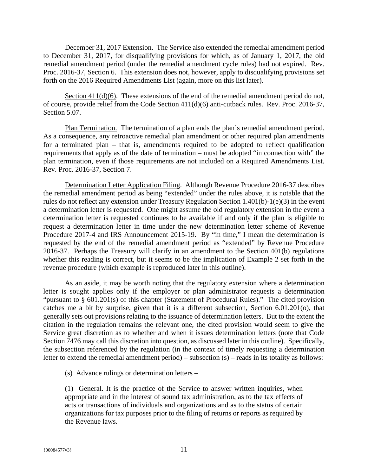December 31, 2017 Extension. The Service also extended the remedial amendment period to December 31, 2017, for disqualifying provisions for which, as of January 1, 2017, the old remedial amendment period (under the remedial amendment cycle rules) had not expired. Rev. Proc. 2016-37, Section 6. This extension does not, however, apply to disqualifying provisions set forth on the 2016 Required Amendments List (again, more on this list later).

Section 411(d)(6). These extensions of the end of the remedial amendment period do not, of course, provide relief from the Code Section 411(d)(6) anti-cutback rules. Rev. Proc. 2016-37, Section 5.07.

Plan Termination. The termination of a plan ends the plan's remedial amendment period. As a consequence, any retroactive remedial plan amendment or other required plan amendments for a terminated plan – that is, amendments required to be adopted to reflect qualification requirements that apply as of the date of termination – must be adopted "in connection with" the plan termination, even if those requirements are not included on a Required Amendments List. Rev. Proc. 2016-37, Section 7.

Determination Letter Application Filing. Although Revenue Procedure 2016-37 describes the remedial amendment period as being "extended" under the rules above, it is notable that the rules do not reflect any extension under Treasury Regulation Section 1.401(b)-1(e)(3) in the event a determination letter is requested. One might assume the old regulatory extension in the event a determination letter is requested continues to be available if and only if the plan is eligible to request a determination letter in time under the new determination letter scheme of Revenue Procedure 2017-4 and IRS Announcement 2015-19. By "in time," I mean the determination is requested by the end of the remedial amendment period as "extended" by Revenue Procedure 2016-37. Perhaps the Treasury will clarify in an amendment to the Section 401(b) regulations whether this reading is correct, but it seems to be the implication of Example 2 set forth in the revenue procedure (which example is reproduced later in this outline).

As an aside, it may be worth noting that the regulatory extension where a determination letter is sought applies only if the employer or plan administrator requests a determination "pursuant to § 601.201(s) of this chapter (Statement of Procedural Rules)." The cited provision catches me a bit by surprise, given that it is a different subsection, Section 6.01.201(o), that generally sets out provisions relating to the issuance of determination letters. But to the extent the citation in the regulation remains the relevant one, the cited provision would seem to give the Service great discretion as to whether and when it issues determination letters (note that Code Section 7476 may call this discretion into question, as discussed later in this outline). Specifically, the subsection referenced by the regulation (in the context of timely requesting a determination letter to extend the remedial amendment period) – subsection (s) – reads in its totality as follows:

(s) Advance rulings or determination letters –

(1) General. It is the practice of the Service to answer written inquiries, when appropriate and in the interest of sound tax administration, as to the tax effects of acts or transactions of individuals and organizations and as to the status of certain organizations for tax purposes prior to the filing of returns or reports as required by the Revenue laws.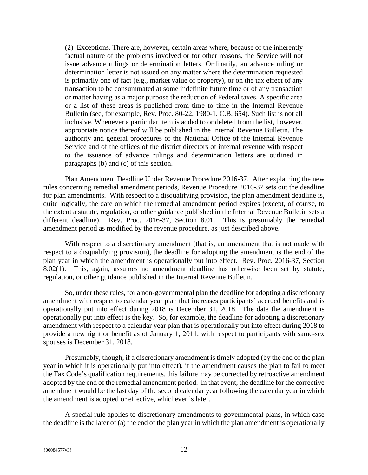(2) Exceptions. There are, however, certain areas where, because of the inherently factual nature of the problems involved or for other reasons, the Service will not issue advance rulings or determination letters. Ordinarily, an advance ruling or determination letter is not issued on any matter where the determination requested is primarily one of fact (e.g., market value of property), or on the tax effect of any transaction to be consummated at some indefinite future time or of any transaction or matter having as a major purpose the reduction of Federal taxes. A specific area or a list of these areas is published from time to time in the Internal Revenue Bulletin (see, for example, Rev. Proc. 80-22, 1980-1, C.B. 654). Such list is not all inclusive. Whenever a particular item is added to or deleted from the list, however, appropriate notice thereof will be published in the Internal Revenue Bulletin. The authority and general procedures of the National Office of the Internal Revenue Service and of the offices of the district directors of internal revenue with respect to the issuance of advance rulings and determination letters are outlined in paragraphs (b) and (c) of this section.

Plan Amendment Deadline Under Revenue Procedure 2016-37. After explaining the new rules concerning remedial amendment periods, Revenue Procedure 2016-37 sets out the deadline for plan amendments. With respect to a disqualifying provision, the plan amendment deadline is, quite logically, the date on which the remedial amendment period expires (except, of course, to the extent a statute, regulation, or other guidance published in the Internal Revenue Bulletin sets a different deadline). Rev. Proc. 2016-37, Section 8.01. This is presumably the remedial amendment period as modified by the revenue procedure, as just described above.

With respect to a discretionary amendment (that is, an amendment that is not made with respect to a disqualifying provision), the deadline for adopting the amendment is the end of the plan year in which the amendment is operationally put into effect. Rev. Proc. 2016-37, Section 8.02(1). This, again, assumes no amendment deadline has otherwise been set by statute, regulation, or other guidance published in the Internal Revenue Bulletin.

So, under these rules, for a non-governmental plan the deadline for adopting a discretionary amendment with respect to calendar year plan that increases participants' accrued benefits and is operationally put into effect during 2018 is December 31, 2018. The date the amendment is operationally put into effect is the key. So, for example, the deadline for adopting a discretionary amendment with respect to a calendar year plan that is operationally put into effect during 2018 to provide a new right or benefit as of January 1, 2011, with respect to participants with same-sex spouses is December 31, 2018.

Presumably, though, if a discretionary amendment is timely adopted (by the end of the plan year in which it is operationally put into effect), if the amendment causes the plan to fail to meet the Tax Code's qualification requirements, this failure may be corrected by retroactive amendment adopted by the end of the remedial amendment period. In that event, the deadline for the corrective amendment would be the last day of the second calendar year following the calendar year in which the amendment is adopted or effective, whichever is later.

A special rule applies to discretionary amendments to governmental plans, in which case the deadline is the later of (a) the end of the plan year in which the plan amendment is operationally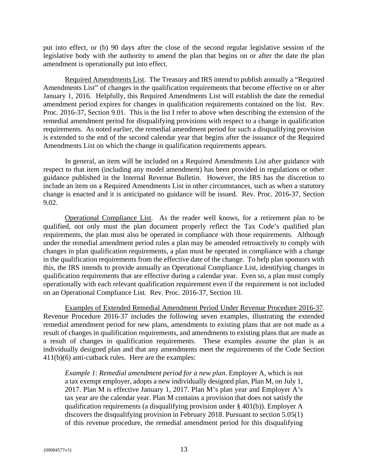put into effect, or (b) 90 days after the close of the second regular legislative session of the legislative body with the authority to amend the plan that begins on or after the date the plan amendment is operationally put into effect.

Required Amendments List. The Treasury and IRS intend to publish annually a "Required Amendments List" of changes in the qualification requirements that become effective on or after January 1, 2016. Helpfully, this Required Amendments List will establish the date the remedial amendment period expires for changes in qualification requirements contained on the list. Rev. Proc. 2016-37, Section 9.01. This is the list I refer to above when describing the extension of the remedial amendment period for disqualifying provisions with respect to a change in qualification requirements. As noted earlier, the remedial amendment period for such a disqualifying provision is extended to the end of the second calendar year that begins after the issuance of the Required Amendments List on which the change in qualification requirements appears.

In general, an item will be included on a Required Amendments List after guidance with respect to that item (including any model amendment) has been provided in regulations or other guidance published in the Internal Revenue Bulletin. However, the IRS has the discretion to include an item on a Required Amendments List in other circumstances, such as when a statutory change is enacted and it is anticipated no guidance will be issued. Rev. Proc. 2016-37, Section 9.02.

Operational Compliance List. As the reader well knows, for a retirement plan to be qualified, not only must the plan document properly reflect the Tax Code's qualified plan requirements, the plan must also be operated in compliance with those requirements. Although under the remedial amendment period rules a plan may be amended retroactively to comply with changes in plan qualification requirements, a plan must be operated in compliance with a change in the qualification requirements from the effective date of the change. To help plan sponsors with this, the IRS intends to provide annually an Operational Compliance List, identifying changes in qualification requirements that are effective during a calendar year. Even so, a plan must comply operationally with each relevant qualification requirement even if the requirement is not included on an Operational Compliance List. Rev. Proc. 2016-37, Section 10.

Examples of Extended Remedial Amendment Period Under Revenue Procedure 2016-37. Revenue Procedure 2016-37 includes the following seven examples, illustrating the extended remedial amendment period for new plans, amendments to existing plans that are not made as a result of changes in qualification requirements, and amendments to existing plans that are made as a result of changes in qualification requirements. These examples assume the plan is an individually designed plan and that any amendments meet the requirements of the Code Section 411(b)(6) anti-cutback rules. Here are the examples:

*Example 1*: *Remedial amendment period for a new plan*. Employer A, which is not a tax exempt employer, adopts a new individually designed plan, Plan M, on July 1, 2017. Plan M is effective January 1, 2017. Plan M's plan year and Employer A's tax year are the calendar year. Plan M contains a provision that does not satisfy the qualification requirements (a disqualifying provision under § 401(b)). Employer A discovers the disqualifying provision in February 2018. Pursuant to section 5.05(1) of this revenue procedure, the remedial amendment period for this disqualifying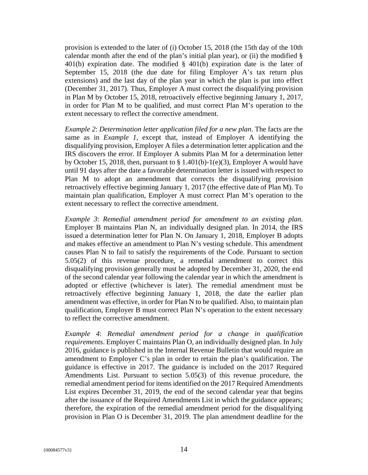provision is extended to the later of (i) October 15, 2018 (the 15th day of the 10th calendar month after the end of the plan's initial plan year), or (ii) the modified  $\S$ 401(b) expiration date. The modified  $\S$  401(b) expiration date is the later of September 15, 2018 (the due date for filing Employer A's tax return plus extensions) and the last day of the plan year in which the plan is put into effect (December 31, 2017). Thus, Employer A must correct the disqualifying provision in Plan M by October 15, 2018, retroactively effective beginning January 1, 2017, in order for Plan M to be qualified, and must correct Plan M's operation to the extent necessary to reflect the corrective amendment.

*Example 2*: *Determination letter application filed for a new plan*. The facts are the same as in *Example 1*, except that, instead of Employer A identifying the disqualifying provision, Employer A files a determination letter application and the IRS discovers the error. If Employer A submits Plan M for a determination letter by October 15, 2018, then, pursuant to  $\S 1.401(b)$ -1(e)(3), Employer A would have until 91 days after the date a favorable determination letter is issued with respect to Plan M to adopt an amendment that corrects the disqualifying provision retroactively effective beginning January 1, 2017 (the effective date of Plan M). To maintain plan qualification, Employer A must correct Plan M's operation to the extent necessary to reflect the corrective amendment.

*Example 3*: *Remedial amendment period for amendment to an existing plan*. Employer B maintains Plan N, an individually designed plan. In 2014, the IRS issued a determination letter for Plan N. On January 1, 2018, Employer B adopts and makes effective an amendment to Plan N's vesting schedule. This amendment causes Plan N to fail to satisfy the requirements of the Code. Pursuant to section 5.05(2) of this revenue procedure, a remedial amendment to correct this disqualifying provision generally must be adopted by December 31, 2020, the end of the second calendar year following the calendar year in which the amendment is adopted or effective (whichever is later). The remedial amendment must be retroactively effective beginning January 1, 2018, the date the earlier plan amendment was effective, in order for Plan N to be qualified. Also, to maintain plan qualification, Employer B must correct Plan N's operation to the extent necessary to reflect the corrective amendment.

*Example 4*: *Remedial amendment period for a change in qualification requirements*. Employer C maintains Plan O, an individually designed plan. In July 2016, guidance is published in the Internal Revenue Bulletin that would require an amendment to Employer C's plan in order to retain the plan's qualification. The guidance is effective in 2017. The guidance is included on the 2017 Required Amendments List. Pursuant to section 5.05(3) of this revenue procedure, the remedial amendment period for items identified on the 2017 Required Amendments List expires December 31, 2019, the end of the second calendar year that begins after the issuance of the Required Amendments List in which the guidance appears; therefore, the expiration of the remedial amendment period for the disqualifying provision in Plan O is December 31, 2019. The plan amendment deadline for the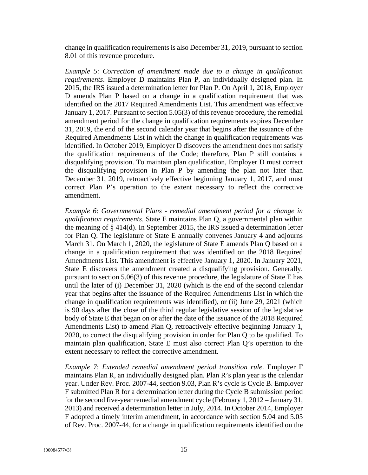change in qualification requirements is also December 31, 2019, pursuant to section 8.01 of this revenue procedure.

*Example 5*: *Correction of amendment made due to a change in qualification requirements*. Employer D maintains Plan P, an individually designed plan. In 2015, the IRS issued a determination letter for Plan P. On April 1, 2018, Employer D amends Plan P based on a change in a qualification requirement that was identified on the 2017 Required Amendments List. This amendment was effective January 1, 2017. Pursuant to section 5.05(3) of this revenue procedure, the remedial amendment period for the change in qualification requirements expires December 31, 2019, the end of the second calendar year that begins after the issuance of the Required Amendments List in which the change in qualification requirements was identified. In October 2019, Employer D discovers the amendment does not satisfy the qualification requirements of the Code; therefore, Plan P still contains a disqualifying provision. To maintain plan qualification, Employer D must correct the disqualifying provision in Plan P by amending the plan not later than December 31, 2019, retroactively effective beginning January 1, 2017, and must correct Plan P's operation to the extent necessary to reflect the corrective amendment.

*Example 6*: *Governmental Plans - remedial amendment period for a change in qualification requirements*. State E maintains Plan Q, a governmental plan within the meaning of § 414(d). In September 2015, the IRS issued a determination letter for Plan Q. The legislature of State E annually convenes January 4 and adjourns March 31. On March 1, 2020, the legislature of State E amends Plan Q based on a change in a qualification requirement that was identified on the 2018 Required Amendments List. This amendment is effective January 1, 2020. In January 2021, State E discovers the amendment created a disqualifying provision. Generally, pursuant to section 5.06(3) of this revenue procedure, the legislature of State E has until the later of (i) December 31, 2020 (which is the end of the second calendar year that begins after the issuance of the Required Amendments List in which the change in qualification requirements was identified), or (ii) June 29, 2021 (which is 90 days after the close of the third regular legislative session of the legislative body of State E that began on or after the date of the issuance of the 2018 Required Amendments List) to amend Plan Q, retroactively effective beginning January 1, 2020, to correct the disqualifying provision in order for Plan Q to be qualified. To maintain plan qualification, State E must also correct Plan Q's operation to the extent necessary to reflect the corrective amendment.

*Example 7*: *Extended remedial amendment period transition rule*. Employer F maintains Plan R, an individually designed plan. Plan R's plan year is the calendar year. Under Rev. Proc. 2007-44, section 9.03, Plan R's cycle is Cycle B. Employer F submitted Plan R for a determination letter during the Cycle B submission period for the second five-year remedial amendment cycle (February 1, 2012 – January 31, 2013) and received a determination letter in July, 2014. In October 2014, Employer F adopted a timely interim amendment, in accordance with section 5.04 and 5.05 of Rev. Proc. 2007-44, for a change in qualification requirements identified on the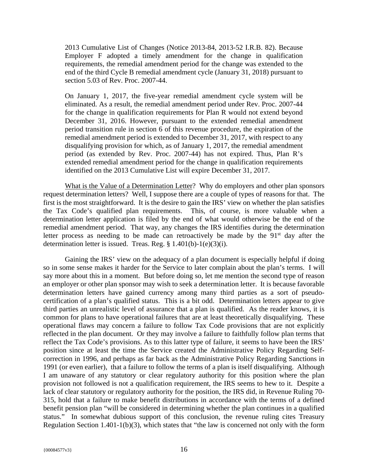2013 Cumulative List of Changes (Notice 2013-84, 2013-52 I.R.B. 82). Because Employer F adopted a timely amendment for the change in qualification requirements, the remedial amendment period for the change was extended to the end of the third Cycle B remedial amendment cycle (January 31, 2018) pursuant to section 5.03 of Rev. Proc. 2007-44.

On January 1, 2017, the five-year remedial amendment cycle system will be eliminated. As a result, the remedial amendment period under Rev. Proc. 2007-44 for the change in qualification requirements for Plan R would not extend beyond December 31, 2016. However, pursuant to the extended remedial amendment period transition rule in section 6 of this revenue procedure, the expiration of the remedial amendment period is extended to December 31, 2017, with respect to any disqualifying provision for which, as of January 1, 2017, the remedial amendment period (as extended by Rev. Proc. 2007-44) has not expired. Thus, Plan R's extended remedial amendment period for the change in qualification requirements identified on the 2013 Cumulative List will expire December 31, 2017.

What is the Value of a Determination Letter? Why do employers and other plan sponsors request determination letters? Well, I suppose there are a couple of types of reasons for that. The first is the most straightforward. It is the desire to gain the IRS' view on whether the plan satisfies the Tax Code's qualified plan requirements. This, of course, is more valuable when a determination letter application is filed by the end of what would otherwise be the end of the remedial amendment period. That way, any changes the IRS identifies during the determination letter process as needing to be made can retroactively be made by the  $91<sup>st</sup>$  day after the determination letter is issued. Treas. Reg. § 1.401(b)-1(e)(3)(i).

Gaining the IRS' view on the adequacy of a plan document is especially helpful if doing so in some sense makes it harder for the Service to later complain about the plan's terms. I will say more about this in a moment. But before doing so, let me mention the second type of reason an employer or other plan sponsor may wish to seek a determination letter. It is because favorable determination letters have gained currency among many third parties as a sort of pseudocertification of a plan's qualified status. This is a bit odd. Determination letters appear to give third parties an unrealistic level of assurance that a plan is qualified. As the reader knows, it is common for plans to have operational failures that are at least theoretically disqualifying. These operational flaws may concern a failure to follow Tax Code provisions that are not explicitly reflected in the plan document. Or they may involve a failure to faithfully follow plan terms that reflect the Tax Code's provisions. As to this latter type of failure, it seems to have been the IRS' position since at least the time the Service created the Administrative Policy Regarding Selfcorrection in 1996, and perhaps as far back as the Administrative Policy Regarding Sanctions in 1991 (or even earlier), that a failure to follow the terms of a plan is itself disqualifying. Although I am unaware of any statutory or clear regulatory authority for this position where the plan provision not followed is not a qualification requirement, the IRS seems to hew to it. Despite a lack of clear statutory or regulatory authority for the position, the IRS did, in Revenue Ruling 70- 315, hold that a failure to make benefit distributions in accordance with the terms of a defined benefit pension plan "will be considered in determining whether the plan continues in a qualified status." In somewhat dubious support of this conclusion, the revenue ruling cites Treasury Regulation Section 1.401-1(b)(3), which states that "the law is concerned not only with the form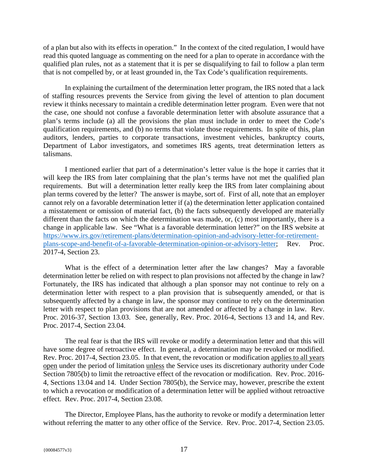of a plan but also with its effects in operation." In the context of the cited regulation, I would have read this quoted language as commenting on the need for a plan to operate in accordance with the qualified plan rules, not as a statement that it is per se disqualifying to fail to follow a plan term that is not compelled by, or at least grounded in, the Tax Code's qualification requirements.

In explaining the curtailment of the determination letter program, the IRS noted that a lack of staffing resources prevents the Service from giving the level of attention to plan document review it thinks necessary to maintain a credible determination letter program. Even were that not the case, one should not confuse a favorable determination letter with absolute assurance that a plan's terms include (a) all the provisions the plan must include in order to meet the Code's qualification requirements, and (b) no terms that violate those requirements. In spite of this, plan auditors, lenders, parties to corporate transactions, investment vehicles, bankruptcy courts, Department of Labor investigators, and sometimes IRS agents, treat determination letters as talismans.

I mentioned earlier that part of a determination's letter value is the hope it carries that it will keep the IRS from later complaining that the plan's terms have not met the qualified plan requirements. But will a determination letter really keep the IRS from later complaining about plan terms covered by the letter? The answer is maybe, sort of. First of all, note that an employer cannot rely on a favorable determination letter if (a) the determination letter application contained a misstatement or omission of material fact, (b) the facts subsequently developed are materially different than the facts on which the determination was made, or, (c) most importantly, there is a change in applicable law. See "What is a favorable determination letter?" on the IRS website at https://www.irs.gov/retirement-plans/determination-opinion-and-advisory-letter-for-retirementplans-scope-and-benefit-of-a-favorable-determination-opinion-or-advisory-letter; Rev. Proc. 2017-4, Section 23.

What is the effect of a determination letter after the law changes? May a favorable determination letter be relied on with respect to plan provisions not affected by the change in law? Fortunately, the IRS has indicated that although a plan sponsor may not continue to rely on a determination letter with respect to a plan provision that is subsequently amended, or that is subsequently affected by a change in law, the sponsor may continue to rely on the determination letter with respect to plan provisions that are not amended or affected by a change in law. Rev. Proc. 2016-37, Section 13.03. See, generally, Rev. Proc. 2016-4, Sections 13 and 14, and Rev. Proc. 2017-4, Section 23.04.

The real fear is that the IRS will revoke or modify a determination letter and that this will have some degree of retroactive effect. In general, a determination may be revoked or modified. Rev. Proc. 2017-4, Section 23.05. In that event, the revocation or modification applies to all years open under the period of limitation unless the Service uses its discretionary authority under Code Section 7805(b) to limit the retroactive effect of the revocation or modification. Rev. Proc. 2016-4, Sections 13.04 and 14. Under Section 7805(b), the Service may, however, prescribe the extent to which a revocation or modification of a determination letter will be applied without retroactive effect. Rev. Proc. 2017-4, Section 23.08.

The Director, Employee Plans, has the authority to revoke or modify a determination letter without referring the matter to any other office of the Service. Rev. Proc. 2017-4, Section 23.05.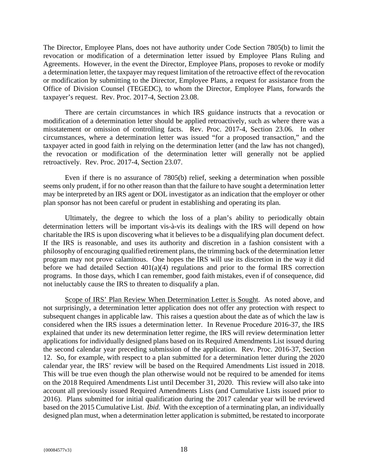The Director, Employee Plans, does not have authority under Code Section 7805(b) to limit the revocation or modification of a determination letter issued by Employee Plans Ruling and Agreements. However, in the event the Director, Employee Plans, proposes to revoke or modify a determination letter, the taxpayer may request limitation of the retroactive effect of the revocation or modification by submitting to the Director, Employee Plans, a request for assistance from the Office of Division Counsel (TEGEDC), to whom the Director, Employee Plans, forwards the taxpayer's request. Rev. Proc. 2017-4, Section 23.08.

There are certain circumstances in which IRS guidance instructs that a revocation or modification of a determination letter should be applied retroactively, such as where there was a misstatement or omission of controlling facts. Rev. Proc. 2017-4, Section 23.06. In other circumstances, where a determination letter was issued "for a proposed transaction," and the taxpayer acted in good faith in relying on the determination letter (and the law has not changed), the revocation or modification of the determination letter will generally not be applied retroactively. Rev. Proc. 2017-4, Section 23.07.

Even if there is no assurance of 7805(b) relief, seeking a determination when possible seems only prudent, if for no other reason than that the failure to have sought a determination letter may be interpreted by an IRS agent or DOL investigator as an indication that the employer or other plan sponsor has not been careful or prudent in establishing and operating its plan.

Ultimately, the degree to which the loss of a plan's ability to periodically obtain determination letters will be important vis-à-vis its dealings with the IRS will depend on how charitable the IRS is upon discovering what it believes to be a disqualifying plan document defect. If the IRS is reasonable, and uses its authority and discretion in a fashion consistent with a philosophy of encouraging qualified retirement plans, the trimming back of the determination letter program may not prove calamitous. One hopes the IRS will use its discretion in the way it did before we had detailed Section 401(a)(4) regulations and prior to the formal IRS correction programs. In those days, which I can remember, good faith mistakes, even if of consequence, did not ineluctably cause the IRS to threaten to disqualify a plan.

Scope of IRS' Plan Review When Determination Letter is Sought. As noted above, and not surprisingly, a determination letter application does not offer any protection with respect to subsequent changes in applicable law. This raises a question about the date as of which the law is considered when the IRS issues a determination letter. In Revenue Procedure 2016-37, the IRS explained that under its new determination letter regime, the IRS will review determination letter applications for individually designed plans based on its Required Amendments List issued during the second calendar year preceding submission of the application. Rev. Proc. 2016-37, Section 12. So, for example, with respect to a plan submitted for a determination letter during the 2020 calendar year, the IRS' review will be based on the Required Amendments List issued in 2018. This will be true even though the plan otherwise would not be required to be amended for items on the 2018 Required Amendments List until December 31, 2020. This review will also take into account all previously issued Required Amendments Lists (and Cumulative Lists issued prior to 2016). Plans submitted for initial qualification during the 2017 calendar year will be reviewed based on the 2015 Cumulative List. *Ibid*. With the exception of a terminating plan, an individually designed plan must, when a determination letter application is submitted, be restated to incorporate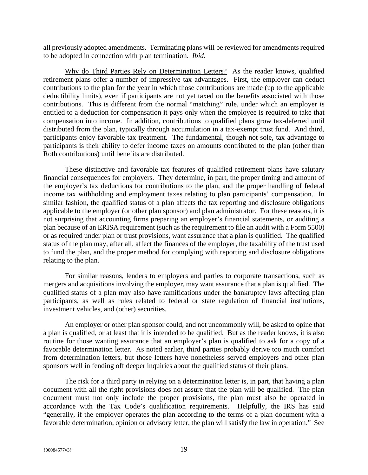all previously adopted amendments. Terminating plans will be reviewed for amendments required to be adopted in connection with plan termination. *Ibid*.

Why do Third Parties Rely on Determination Letters? As the reader knows, qualified retirement plans offer a number of impressive tax advantages. First, the employer can deduct contributions to the plan for the year in which those contributions are made (up to the applicable deductibility limits), even if participants are not yet taxed on the benefits associated with those contributions. This is different from the normal "matching" rule, under which an employer is entitled to a deduction for compensation it pays only when the employee is required to take that compensation into income. In addition, contributions to qualified plans grow tax-deferred until distributed from the plan, typically through accumulation in a tax-exempt trust fund. And third, participants enjoy favorable tax treatment. The fundamental, though not sole, tax advantage to participants is their ability to defer income taxes on amounts contributed to the plan (other than Roth contributions) until benefits are distributed.

These distinctive and favorable tax features of qualified retirement plans have salutary financial consequences for employers. They determine, in part, the proper timing and amount of the employer's tax deductions for contributions to the plan, and the proper handling of federal income tax withholding and employment taxes relating to plan participants' compensation. In similar fashion, the qualified status of a plan affects the tax reporting and disclosure obligations applicable to the employer (or other plan sponsor) and plan administrator. For these reasons, it is not surprising that accounting firms preparing an employer's financial statements, or auditing a plan because of an ERISA requirement (such as the requirement to file an audit with a Form 5500) or as required under plan or trust provisions, want assurance that a plan is qualified. The qualified status of the plan may, after all, affect the finances of the employer, the taxability of the trust used to fund the plan, and the proper method for complying with reporting and disclosure obligations relating to the plan.

For similar reasons, lenders to employers and parties to corporate transactions, such as mergers and acquisitions involving the employer, may want assurance that a plan is qualified. The qualified status of a plan may also have ramifications under the bankruptcy laws affecting plan participants, as well as rules related to federal or state regulation of financial institutions, investment vehicles, and (other) securities.

An employer or other plan sponsor could, and not uncommonly will, be asked to opine that a plan is qualified, or at least that it is intended to be qualified. But as the reader knows, it is also routine for those wanting assurance that an employer's plan is qualified to ask for a copy of a favorable determination letter. As noted earlier, third parties probably derive too much comfort from determination letters, but those letters have nonetheless served employers and other plan sponsors well in fending off deeper inquiries about the qualified status of their plans.

The risk for a third party in relying on a determination letter is, in part, that having a plan document with all the right provisions does not assure that the plan will be qualified. The plan document must not only include the proper provisions, the plan must also be operated in accordance with the Tax Code's qualification requirements. Helpfully, the IRS has said "generally, if the employer operates the plan according to the terms of a plan document with a favorable determination, opinion or advisory letter, the plan will satisfy the law in operation." See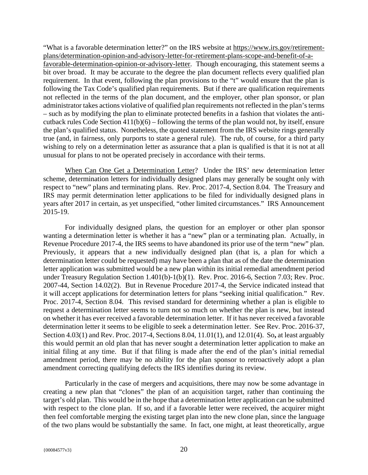"What is a favorable determination letter?" on the IRS website at https://www.irs.gov/retirementplans/determination-opinion-and-advisory-letter-for-retirement-plans-scope-and-benefit-of-afavorable-determination-opinion-or-advisory-letter. Though encouraging, this statement seems a bit over broad. It may be accurate to the degree the plan document reflects every qualified plan requirement. In that event, following the plan provisions to the "t" would ensure that the plan is following the Tax Code's qualified plan requirements. But if there are qualification requirements not reflected in the terms of the plan document, and the employer, other plan sponsor, or plan administrator takes actions violative of qualified plan requirements not reflected in the plan's terms – such as by modifying the plan to eliminate protected benefits in a fashion that violates the anticutback rules Code Section 411(b)(6) – following the terms of the plan would not, by itself, ensure the plan's qualified status. Nonetheless, the quoted statement from the IRS website rings generally true (and, in fairness, only purports to state a general rule). The rub, of course, for a third party wishing to rely on a determination letter as assurance that a plan is qualified is that it is not at all unusual for plans to not be operated precisely in accordance with their terms.

When Can One Get a Determination Letter? Under the IRS' new determination letter scheme, determination letters for individually designed plans may generally be sought only with respect to "new" plans and terminating plans. Rev. Proc. 2017-4, Section 8.04. The Treasury and IRS may permit determination letter applications to be filed for individually designed plans in years after 2017 in certain, as yet unspecified, "other limited circumstances." IRS Announcement 2015-19.

For individually designed plans, the question for an employer or other plan sponsor wanting a determination letter is whether it has a "new" plan or a terminating plan. Actually, in Revenue Procedure 2017-4, the IRS seems to have abandoned its prior use of the term "new" plan. Previously, it appears that a new individually designed plan (that is, a plan for which a determination letter could be requested) may have been a plan that as of the date the determination letter application was submitted would be a new plan within its initial remedial amendment period under Treasury Regulation Section 1.401(b)-1(b)(1). Rev. Proc. 2016-6, Section 7.03; Rev. Proc. 2007-44, Section 14.02(2). But in Revenue Procedure 2017-4, the Service indicated instead that it will accept applications for determination letters for plans "seeking initial qualification." Rev. Proc. 2017-4, Section 8.04. This revised standard for determining whether a plan is eligible to request a determination letter seems to turn not so much on whether the plan is new, but instead on whether it has ever received a favorable determination letter. If it has never received a favorable determination letter it seems to be eligible to seek a determination letter. See Rev. Proc. 2016-37, Section 4.03(1) and Rev. Proc. 2017-4, Sections 8.04, 11.01(1), and 12.01(4).So**,** at least arguably this would permit an old plan that has never sought a determination letter application to make an initial filing at any time. But if that filing is made after the end of the plan's initial remedial amendment period, there may be no ability for the plan sponsor to retroactively adopt a plan amendment correcting qualifying defects the IRS identifies during its review.

Particularly in the case of mergers and acquisitions, there may now be some advantage in creating a new plan that "clones" the plan of an acquisition target, rather than continuing the target's old plan. This would be in the hope that a determination letter application can be submitted with respect to the clone plan. If so, and if a favorable letter were received, the acquirer might then feel comfortable merging the existing target plan into the new clone plan, since the language of the two plans would be substantially the same. In fact, one might, at least theoretically, argue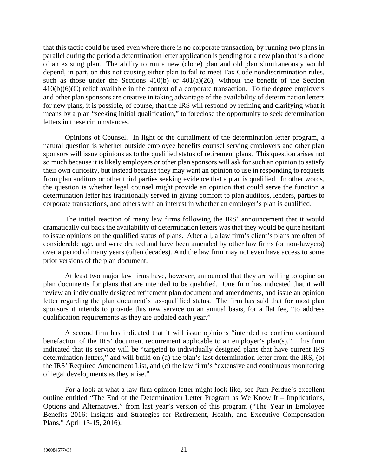that this tactic could be used even where there is no corporate transaction, by running two plans in parallel during the period a determination letter application is pending for a new plan that is a clone of an existing plan. The ability to run a new (clone) plan and old plan simultaneously would depend, in part, on this not causing either plan to fail to meet Tax Code nondiscrimination rules, such as those under the Sections  $410(b)$  or  $401(a)(26)$ , without the benefit of the Section 410(b)(6)(C) relief available in the context of a corporate transaction. To the degree employers and other plan sponsors are creative in taking advantage of the availability of determination letters for new plans, it is possible, of course, that the IRS will respond by refining and clarifying what it means by a plan "seeking initial qualification," to foreclose the opportunity to seek determination letters in these circumstances.

Opinions of Counsel. In light of the curtailment of the determination letter program, a natural question is whether outside employee benefits counsel serving employers and other plan sponsors will issue opinions as to the qualified status of retirement plans. This question arises not so much because it is likely employers or other plan sponsors will ask for such an opinion to satisfy their own curiosity, but instead because they may want an opinion to use in responding to requests from plan auditors or other third parties seeking evidence that a plan is qualified. In other words, the question is whether legal counsel might provide an opinion that could serve the function a determination letter has traditionally served in giving comfort to plan auditors, lenders, parties to corporate transactions, and others with an interest in whether an employer's plan is qualified.

The initial reaction of many law firms following the IRS' announcement that it would dramatically cut back the availability of determination letters was that they would be quite hesitant to issue opinions on the qualified status of plans. After all, a law firm's client's plans are often of considerable age, and were drafted and have been amended by other law firms (or non-lawyers) over a period of many years (often decades). And the law firm may not even have access to some prior versions of the plan document.

At least two major law firms have, however, announced that they are willing to opine on plan documents for plans that are intended to be qualified. One firm has indicated that it will review an individually designed retirement plan document and amendments, and issue an opinion letter regarding the plan document's tax-qualified status. The firm has said that for most plan sponsors it intends to provide this new service on an annual basis, for a flat fee, "to address qualification requirements as they are updated each year."

A second firm has indicated that it will issue opinions "intended to confirm continued benefaction of the IRS' document requirement applicable to an employer's plan(s)." This firm indicated that its service will be "targeted to individually designed plans that have current IRS determination letters," and will build on (a) the plan's last determination letter from the IRS, (b) the IRS' Required Amendment List, and (c) the law firm's "extensive and continuous monitoring of legal developments as they arise."

For a look at what a law firm opinion letter might look like, see Pam Perdue's excellent outline entitled "The End of the Determination Letter Program as We Know It – Implications, Options and Alternatives," from last year's version of this program ("The Year in Employee Benefits 2016: Insights and Strategies for Retirement, Health, and Executive Compensation Plans," April 13-15, 2016).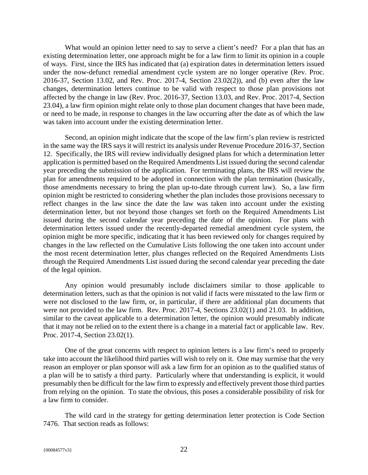What would an opinion letter need to say to serve a client's need? For a plan that has an existing determination letter, one approach might be for a law firm to limit its opinion in a couple of ways. First, since the IRS has indicated that (a) expiration dates in determination letters issued under the now-defunct remedial amendment cycle system are no longer operative (Rev. Proc. 2016-37, Section 13.02, and Rev. Proc. 2017-4, Section 23.02(2)), and (b) even after the law changes, determination letters continue to be valid with respect to those plan provisions not affected by the change in law (Rev. Proc. 2016-37, Section 13.03, and Rev. Proc. 2017-4, Section 23.04), a law firm opinion might relate only to those plan document changes that have been made, or need to be made, in response to changes in the law occurring after the date as of which the law was taken into account under the existing determination letter.

Second, an opinion might indicate that the scope of the law firm's plan review is restricted in the same way the IRS says it will restrict its analysis under Revenue Procedure 2016-37, Section 12. Specifically, the IRS will review individually designed plans for which a determination letter application is permitted based on the Required Amendments List issued during the second calendar year preceding the submission of the application. For terminating plans, the IRS will review the plan for amendments required to be adopted in connection with the plan termination (basically, those amendments necessary to bring the plan up-to-date through current law). So, a law firm opinion might be restricted to considering whether the plan includes those provisions necessary to reflect changes in the law since the date the law was taken into account under the existing determination letter, but not beyond those changes set forth on the Required Amendments List issued during the second calendar year preceding the date of the opinion. For plans with determination letters issued under the recently-departed remedial amendment cycle system, the opinion might be more specific, indicating that it has been reviewed only for changes required by changes in the law reflected on the Cumulative Lists following the one taken into account under the most recent determination letter, plus changes reflected on the Required Amendments Lists through the Required Amendments List issued during the second calendar year preceding the date of the legal opinion.

Any opinion would presumably include disclaimers similar to those applicable to determination letters, such as that the opinion is not valid if facts were misstated to the law firm or were not disclosed to the law firm, or, in particular, if there are additional plan documents that were not provided to the law firm. Rev. Proc. 2017-4, Sections 23.02(1) and 21.03. In addition, similar to the caveat applicable to a determination letter, the opinion would presumably indicate that it may not be relied on to the extent there is a change in a material fact or applicable law. Rev. Proc. 2017-4, Section 23.02(1).

One of the great concerns with respect to opinion letters is a law firm's need to properly take into account the likelihood third parties will wish to rely on it. One may surmise that the very reason an employer or plan sponsor will ask a law firm for an opinion as to the qualified status of a plan will be to satisfy a third party. Particularly where that understanding is explicit, it would presumably then be difficult for the law firm to expressly and effectively prevent those third parties from relying on the opinion. To state the obvious, this poses a considerable possibility of risk for a law firm to consider.

The wild card in the strategy for getting determination letter protection is Code Section 7476. That section reads as follows: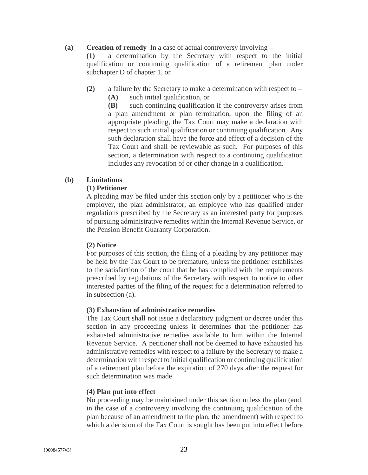#### **(a) Creation of remedy** In a case of actual controversy involving –

**(1)** a determination by the Secretary with respect to the initial qualification or continuing qualification of a retirement plan under subchapter D of chapter 1, or

**(2)** a failure by the Secretary to make a determination with respect to – **(A)** such initial qualification, or

**(B)** such continuing qualification if the controversy arises from a plan amendment or plan termination, upon the filing of an appropriate pleading, the Tax Court may make a declaration with respect to such initial qualification or continuing qualification. Any such declaration shall have the force and effect of a decision of the Tax Court and shall be reviewable as such. For purposes of this section, a determination with respect to a continuing qualification includes any revocation of or other change in a qualification.

#### **(b) Limitations**

#### **(1) Petitioner**

A pleading may be filed under this section only by a petitioner who is the employer, the plan administrator, an employee who has qualified under regulations prescribed by the Secretary as an interested party for purposes of pursuing administrative remedies within the Internal Revenue Service, or the Pension Benefit Guaranty Corporation.

#### **(2) Notice**

For purposes of this section, the filing of a pleading by any petitioner may be held by the Tax Court to be premature, unless the petitioner establishes to the satisfaction of the court that he has complied with the requirements prescribed by regulations of the Secretary with respect to notice to other interested parties of the filing of the request for a determination referred to in subsection (a).

#### **(3) Exhaustion of administrative remedies**

The Tax Court shall not issue a declaratory judgment or decree under this section in any proceeding unless it determines that the petitioner has exhausted administrative remedies available to him within the Internal Revenue Service. A petitioner shall not be deemed to have exhausted his administrative remedies with respect to a failure by the Secretary to make a determination with respect to initial qualification or continuing qualification of a retirement plan before the expiration of 270 days after the request for such determination was made.

#### **(4) Plan put into effect**

No proceeding may be maintained under this section unless the plan (and, in the case of a controversy involving the continuing qualification of the plan because of an amendment to the plan, the amendment) with respect to which a decision of the Tax Court is sought has been put into effect before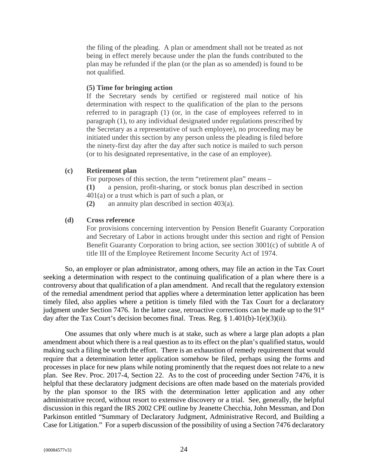the filing of the pleading. A plan or amendment shall not be treated as not being in effect merely because under the plan the funds contributed to the plan may be refunded if the plan (or the plan as so amended) is found to be not qualified.

#### **(5) Time for bringing action**

If the Secretary sends by certified or registered mail notice of his determination with respect to the qualification of the plan to the persons referred to in paragraph (1) (or, in the case of employees referred to in paragraph (1), to any individual designated under regulations prescribed by the Secretary as a representative of such employee), no proceeding may be initiated under this section by any person unless the pleading is filed before the ninety-first day after the day after such notice is mailed to such person (or to his designated representative, in the case of an employee).

#### **(c) Retirement plan**

For purposes of this section, the term "retirement plan" means –

- **(1)** a pension, profit-sharing, or stock bonus plan described in section
- 401(a) or a trust which is part of such a plan, or
- **(2)** an annuity plan described in section 403(a).

#### **(d) Cross reference**

For provisions concerning intervention by Pension Benefit Guaranty Corporation and Secretary of Labor in actions brought under this section and right of Pension Benefit Guaranty Corporation to bring action, see section 3001(c) of subtitle A of title III of the Employee Retirement Income Security Act of 1974.

So, an employer or plan administrator, among others, may file an action in the Tax Court seeking a determination with respect to the continuing qualification of a plan where there is a controversy about that qualification of a plan amendment. And recall that the regulatory extension of the remedial amendment period that applies where a determination letter application has been timely filed, also applies where a petition is timely filed with the Tax Court for a declaratory judgment under Section 7476. In the latter case, retroactive corrections can be made up to the 91<sup>st</sup> day after the Tax Court's decision becomes final. Treas. Reg. § 1.401(b)-1(e)(3)(ii).

One assumes that only where much is at stake, such as where a large plan adopts a plan amendment about which there is a real question as to its effect on the plan's qualified status, would making such a filing be worth the effort. There is an exhaustion of remedy requirement that would require that a determination letter application somehow be filed, perhaps using the forms and processes in place for new plans while noting prominently that the request does not relate to a new plan. See Rev. Proc. 2017-4, Section 22. As to the cost of proceeding under Section 7476, it is helpful that these declaratory judgment decisions are often made based on the materials provided by the plan sponsor to the IRS with the determination letter application and any other administrative record, without resort to extensive discovery or a trial. See, generally, the helpful discussion in this regard the IRS 2002 CPE outline by Jeanette Checchia, John Messman, and Don Parkinson entitled "Summary of Declaratory Judgment, Administrative Record, and Building a Case for Litigation." For a superb discussion of the possibility of using a Section 7476 declaratory